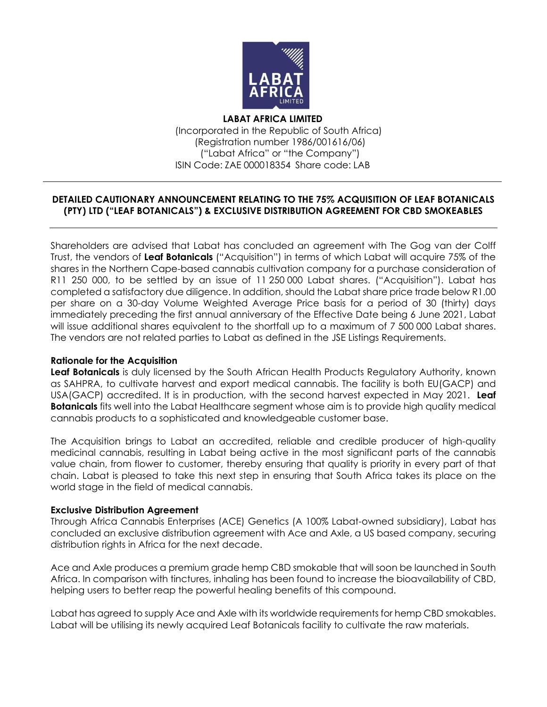

#### **LABAT AFRICA LIMITED** (Incorporated in the Republic of South Africa) (Registration number 1986/001616/06) ("Labat Africa" or "the Company") ISIN Code: ZAE 000018354 Share code: LAB

# **DETAILED CAUTIONARY ANNOUNCEMENT RELATING TO THE 75% ACQUISITION OF LEAF BOTANICALS (PTY) LTD ("LEAF BOTANICALS") & EXCLUSIVE DISTRIBUTION AGREEMENT FOR CBD SMOKEABLES**

Shareholders are advised that Labat has concluded an agreement with The Gog van der Colff Trust, the vendors of **Leaf Botanicals** ("Acquisition") in terms of which Labat will acquire 75% of the shares in the Northern Cape-based cannabis cultivation company for a purchase consideration of R11 250 000, to be settled by an issue of 11 250 000 Labat shares. ("Acquisition"). Labat has completed a satisfactory due diligence. In addition, should the Labat share price trade below R1.00 per share on a 30-day Volume Weighted Average Price basis for a period of 30 (thirty) days immediately preceding the first annual anniversary of the Effective Date being 6 June 2021, Labat will issue additional shares equivalent to the shortfall up to a maximum of 7 500 000 Labat shares. The vendors are not related parties to Labat as defined in the JSE Listings Requirements.

## **Rationale for the Acquisition**

**Leaf Botanicals** is duly licensed by the South African Health Products Regulatory Authority, known as SAHPRA, to cultivate harvest and export medical cannabis. The facility is both EU(GACP) and USA(GACP) accredited. It is in production, with the second harvest expected in May 2021. **Leaf Botanicals** fits well into the Labat Healthcare segment whose aim is to provide high quality medical cannabis products to a sophisticated and knowledgeable customer base.

The Acquisition brings to Labat an accredited, reliable and credible producer of high-quality medicinal cannabis, resulting in Labat being active in the most significant parts of the cannabis value chain, from flower to customer, thereby ensuring that quality is priority in every part of that chain. Labat is pleased to take this next step in ensuring that South Africa takes its place on the world stage in the field of medical cannabis.

## **Exclusive Distribution Agreement**

Through Africa Cannabis Enterprises (ACE) Genetics (A 100% Labat-owned subsidiary), Labat has concluded an exclusive distribution agreement with Ace and Axle, a US based company, securing distribution rights in Africa for the next decade.

Ace and Axle produces a premium grade hemp CBD smokable that will soon be launched in South Africa. In comparison with tinctures, inhaling has been found to increase the bioavailability of CBD, helping users to better reap the powerful healing benefits of this compound.

Labat has agreed to supply Ace and Axle with its worldwide requirements for hemp CBD smokables. Labat will be utilising its newly acquired Leaf Botanicals facility to cultivate the raw materials.